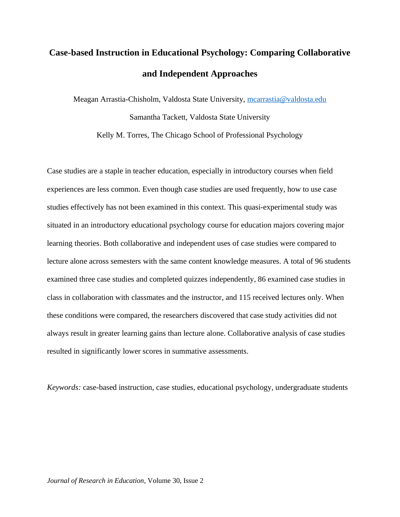# **Case-based Instruction in Educational Psychology: Comparing Collaborative and Independent Approaches**

Meagan Arrastia-Chisholm, Valdosta State University, [mcarrastia@valdosta.edu](mailto:mcarrastia@valdosta.edu) Samantha Tackett, Valdosta State University

Kelly M. Torres, The Chicago School of Professional Psychology

Case studies are a staple in teacher education, especially in introductory courses when field experiences are less common. Even though case studies are used frequently, how to use case studies effectively has not been examined in this context. This quasi-experimental study was situated in an introductory educational psychology course for education majors covering major learning theories. Both collaborative and independent uses of case studies were compared to lecture alone across semesters with the same content knowledge measures. A total of 96 students examined three case studies and completed quizzes independently, 86 examined case studies in class in collaboration with classmates and the instructor, and 115 received lectures only. When these conditions were compared, the researchers discovered that case study activities did not always result in greater learning gains than lecture alone. Collaborative analysis of case studies resulted in significantly lower scores in summative assessments.

*Keywords:* case-based instruction, case studies, educational psychology, undergraduate students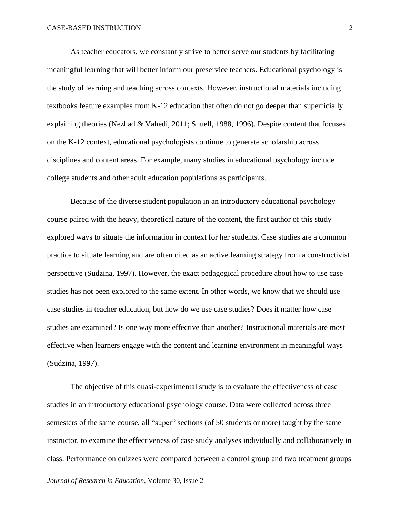As teacher educators, we constantly strive to better serve our students by facilitating meaningful learning that will better inform our preservice teachers. Educational psychology is the study of learning and teaching across contexts. However, instructional materials including textbooks feature examples from K-12 education that often do not go deeper than superficially explaining theories (Nezhad & Vahedi, 2011; Shuell, 1988, 1996). Despite content that focuses on the K-12 context, educational psychologists continue to generate scholarship across disciplines and content areas. For example, many studies in educational psychology include college students and other adult education populations as participants.

Because of the diverse student population in an introductory educational psychology course paired with the heavy, theoretical nature of the content, the first author of this study explored ways to situate the information in context for her students. Case studies are a common practice to situate learning and are often cited as an active learning strategy from a constructivist perspective (Sudzina, 1997). However, the exact pedagogical procedure about how to use case studies has not been explored to the same extent. In other words, we know that we should use case studies in teacher education, but how do we use case studies? Does it matter how case studies are examined? Is one way more effective than another? Instructional materials are most effective when learners engage with the content and learning environment in meaningful ways (Sudzina, 1997).

The objective of this quasi-experimental study is to evaluate the effectiveness of case studies in an introductory educational psychology course. Data were collected across three semesters of the same course, all "super" sections (of 50 students or more) taught by the same instructor, to examine the effectiveness of case study analyses individually and collaboratively in class. Performance on quizzes were compared between a control group and two treatment groups

*Journal of Research in Education*, Volume 30, Issue 2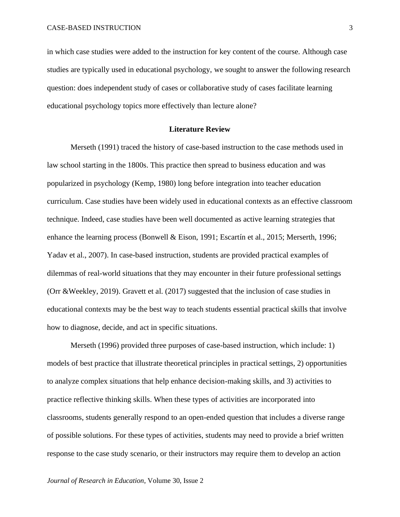in which case studies were added to the instruction for key content of the course. Although case studies are typically used in educational psychology, we sought to answer the following research question: does independent study of cases or collaborative study of cases facilitate learning educational psychology topics more effectively than lecture alone?

## **Literature Review**

Merseth (1991) traced the history of case-based instruction to the case methods used in law school starting in the 1800s. This practice then spread to business education and was popularized in psychology (Kemp, 1980) long before integration into teacher education curriculum. Case studies have been widely used in educational contexts as an effective classroom technique. Indeed, case studies have been well documented as active learning strategies that enhance the learning process (Bonwell & Eison, 1991; Escartín et al., 2015; Merserth, 1996; Yadav et al., 2007). In case-based instruction, students are provided practical examples of dilemmas of real-world situations that they may encounter in their future professional settings (Orr &Weekley, 2019). Gravett et al. (2017) suggested that the inclusion of case studies in educational contexts may be the best way to teach students essential practical skills that involve how to diagnose, decide, and act in specific situations.

Merseth (1996) provided three purposes of case-based instruction, which include: 1) models of best practice that illustrate theoretical principles in practical settings, 2) opportunities to analyze complex situations that help enhance decision-making skills, and 3) activities to practice reflective thinking skills. When these types of activities are incorporated into classrooms, students generally respond to an open-ended question that includes a diverse range of possible solutions. For these types of activities, students may need to provide a brief written response to the case study scenario, or their instructors may require them to develop an action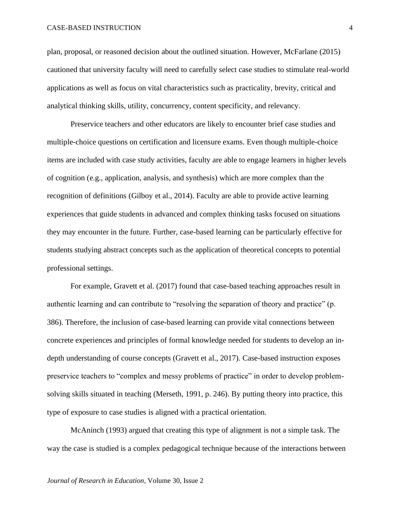plan, proposal, or reasoned decision about the outlined situation. However, McFarlane (2015) cautioned that university faculty will need to carefully select case studies to stimulate real-world applications as well as focus on vital characteristics such as practicality, brevity, critical and analytical thinking skills, utility, concurrency, content specificity, and relevancy.

Preservice teachers and other educators are likely to encounter brief case studies and multiple-choice questions on certification and licensure exams. Even though multiple-choice items are included with case study activities, faculty are able to engage learners in higher levels of cognition (e.g., application, analysis, and synthesis) which are more complex than the recognition of definitions (Gilboy et al., 2014). Faculty are able to provide active learning experiences that guide students in advanced and complex thinking tasks focused on situations they may encounter in the future. Further, case-based learning can be particularly effective for students studying abstract concepts such as the application of theoretical concepts to potential professional settings.

For example, Gravett et al. (2017) found that case-based teaching approaches result in authentic learning and can contribute to "resolving the separation of theory and practice" (p. 386). Therefore, the inclusion of case-based learning can provide vital connections between concrete experiences and principles of formal knowledge needed for students to develop an indepth understanding of course concepts (Gravett et al., 2017). Case-based instruction exposes preservice teachers to "complex and messy problems of practice" in order to develop problemsolving skills situated in teaching (Merseth, 1991, p. 246). By putting theory into practice, this type of exposure to case studies is aligned with a practical orientation.

McAninch (1993) argued that creating this type of alignment is not a simple task. The way the case is studied is a complex pedagogical technique because of the interactions between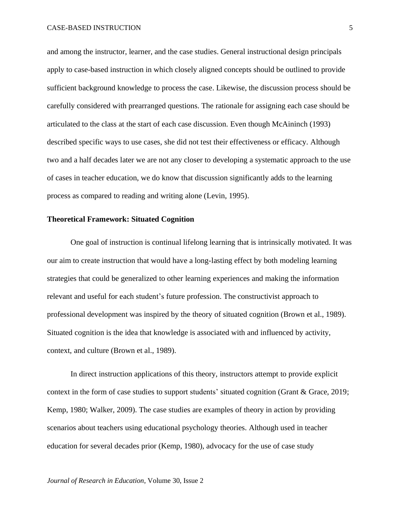and among the instructor, learner, and the case studies. General instructional design principals apply to case-based instruction in which closely aligned concepts should be outlined to provide sufficient background knowledge to process the case. Likewise, the discussion process should be carefully considered with prearranged questions. The rationale for assigning each case should be articulated to the class at the start of each case discussion. Even though McAininch (1993) described specific ways to use cases, she did not test their effectiveness or efficacy. Although two and a half decades later we are not any closer to developing a systematic approach to the use of cases in teacher education, we do know that discussion significantly adds to the learning process as compared to reading and writing alone (Levin, 1995).

#### **Theoretical Framework: Situated Cognition**

One goal of instruction is continual lifelong learning that is intrinsically motivated. It was our aim to create instruction that would have a long-lasting effect by both modeling learning strategies that could be generalized to other learning experiences and making the information relevant and useful for each student's future profession. The constructivist approach to professional development was inspired by the theory of situated cognition (Brown et al., 1989). Situated cognition is the idea that knowledge is associated with and influenced by activity, context, and culture (Brown et al., 1989).

In direct instruction applications of this theory, instructors attempt to provide explicit context in the form of case studies to support students' situated cognition (Grant & Grace, 2019; Kemp, 1980; Walker, 2009). The case studies are examples of theory in action by providing scenarios about teachers using educational psychology theories. Although used in teacher education for several decades prior (Kemp, 1980), advocacy for the use of case study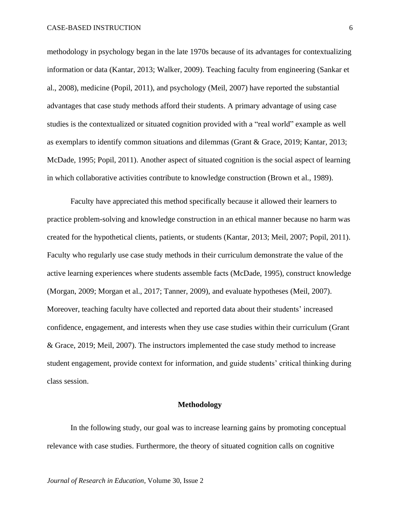methodology in psychology began in the late 1970s because of its advantages for contextualizing information or data (Kantar, 2013; Walker, 2009). Teaching faculty from engineering (Sankar et al., 2008), medicine (Popil, 2011), and psychology (Meil, 2007) have reported the substantial advantages that case study methods afford their students. A primary advantage of using case studies is the contextualized or situated cognition provided with a "real world" example as well as exemplars to identify common situations and dilemmas (Grant & Grace, 2019; Kantar, 2013; McDade, 1995; Popil, 2011). Another aspect of situated cognition is the social aspect of learning in which collaborative activities contribute to knowledge construction (Brown et al., 1989).

Faculty have appreciated this method specifically because it allowed their learners to practice problem-solving and knowledge construction in an ethical manner because no harm was created for the hypothetical clients, patients, or students (Kantar, 2013; Meil, 2007; Popil, 2011). Faculty who regularly use case study methods in their curriculum demonstrate the value of the active learning experiences where students assemble facts (McDade, 1995), construct knowledge (Morgan, 2009; Morgan et al., 2017; Tanner, 2009), and evaluate hypotheses (Meil, 2007). Moreover, teaching faculty have collected and reported data about their students' increased confidence, engagement, and interests when they use case studies within their curriculum (Grant & Grace, 2019; Meil, 2007). The instructors implemented the case study method to increase student engagement, provide context for information, and guide students' critical thinking during class session.

#### **Methodology**

In the following study, our goal was to increase learning gains by promoting conceptual relevance with case studies. Furthermore, the theory of situated cognition calls on cognitive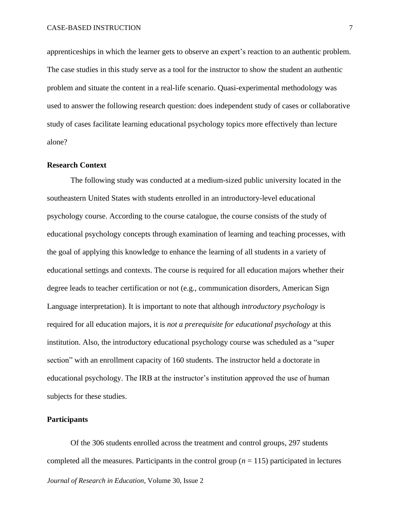apprenticeships in which the learner gets to observe an expert's reaction to an authentic problem. The case studies in this study serve as a tool for the instructor to show the student an authentic problem and situate the content in a real-life scenario. Quasi-experimental methodology was used to answer the following research question: does independent study of cases or collaborative study of cases facilitate learning educational psychology topics more effectively than lecture alone?

## **Research Context**

The following study was conducted at a medium-sized public university located in the southeastern United States with students enrolled in an introductory-level educational psychology course. According to the course catalogue, the course consists of the study of educational psychology concepts through examination of learning and teaching processes, with the goal of applying this knowledge to enhance the learning of all students in a variety of educational settings and contexts. The course is required for all education majors whether their degree leads to teacher certification or not (e.g., communication disorders, American Sign Language interpretation). It is important to note that although *introductory psychology* is required for all education majors, it is *not a prerequisite for educational psychology* at this institution. Also, the introductory educational psychology course was scheduled as a "super section" with an enrollment capacity of 160 students. The instructor held a doctorate in educational psychology. The IRB at the instructor's institution approved the use of human subjects for these studies.

#### **Participants**

*Journal of Research in Education*, Volume 30, Issue 2 Of the 306 students enrolled across the treatment and control groups, 297 students completed all the measures. Participants in the control group  $(n = 115)$  participated in lectures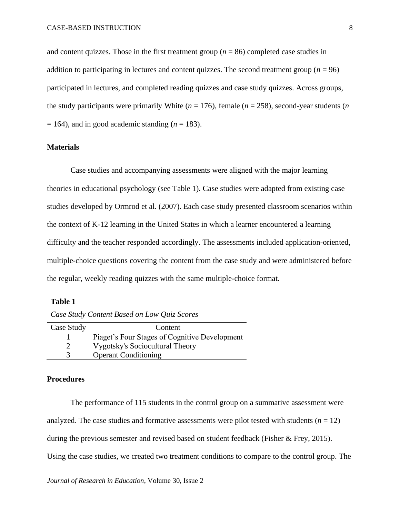and content quizzes. Those in the first treatment group ( $n = 86$ ) completed case studies in addition to participating in lectures and content quizzes. The second treatment group ( $n = 96$ ) participated in lectures, and completed reading quizzes and case study quizzes. Across groups, the study participants were primarily White ( $n = 176$ ), female ( $n = 258$ ), second-year students ( $n = 176$ )  $= 164$ ), and in good academic standing ( $n = 183$ ).

## **Materials**

Case studies and accompanying assessments were aligned with the major learning theories in educational psychology (see Table 1). Case studies were adapted from existing case studies developed by Ormrod et al. (2007). Each case study presented classroom scenarios within the context of K-12 learning in the United States in which a learner encountered a learning difficulty and the teacher responded accordingly. The assessments included application-oriented, multiple-choice questions covering the content from the case study and were administered before the regular, weekly reading quizzes with the same multiple-choice format.

## **Table 1**

*Case Study Content Based on Low Quiz Scores* 

| Case Study | Content                                       |
|------------|-----------------------------------------------|
|            | Piaget's Four Stages of Cognitive Development |
|            | <b>Vygotsky's Sociocultural Theory</b>        |
|            | <b>Operant Conditioning</b>                   |

#### **Procedures**

The performance of 115 students in the control group on a summative assessment were analyzed. The case studies and formative assessments were pilot tested with students  $(n = 12)$ during the previous semester and revised based on student feedback (Fisher & Frey, 2015). Using the case studies, we created two treatment conditions to compare to the control group. The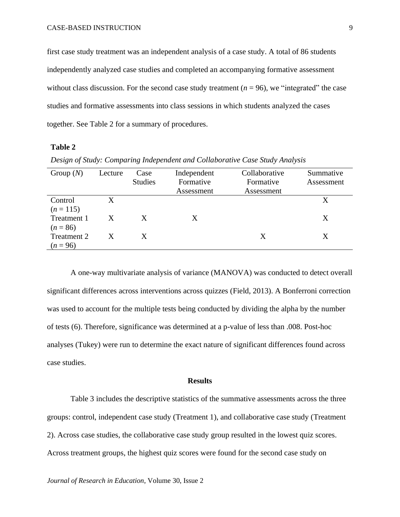first case study treatment was an independent analysis of a case study. A total of 86 students independently analyzed case studies and completed an accompanying formative assessment without class discussion. For the second case study treatment  $(n = 96)$ , we "integrated" the case studies and formative assessments into class sessions in which students analyzed the cases together. See Table 2 for a summary of procedures.

## **Table 2**

| Group $(N)$                | Lecture | Case<br><b>Studies</b> | Independent<br>Formative<br>Assessment | Collaborative<br>Formative<br>Assessment | Summative<br>Assessment |
|----------------------------|---------|------------------------|----------------------------------------|------------------------------------------|-------------------------|
| Control                    | X.      |                        |                                        |                                          | X                       |
| $(n = 115)$<br>Treatment 1 | X       | X                      | Χ                                      |                                          | Χ                       |
| $(n = 86)$<br>Treatment 2  | X       | X                      |                                        | X                                        | Χ                       |
| $(n = 96)$                 |         |                        |                                        |                                          |                         |

*Design of Study: Comparing Independent and Collaborative Case Study Analysis*

A one-way multivariate analysis of variance (MANOVA) was conducted to detect overall significant differences across interventions across quizzes (Field, 2013). A Bonferroni correction was used to account for the multiple tests being conducted by dividing the alpha by the number of tests (6). Therefore, significance was determined at a p-value of less than .008. Post-hoc analyses (Tukey) were run to determine the exact nature of significant differences found across case studies.

#### **Results**

Table 3 includes the descriptive statistics of the summative assessments across the three groups: control, independent case study (Treatment 1), and collaborative case study (Treatment 2). Across case studies, the collaborative case study group resulted in the lowest quiz scores. Across treatment groups, the highest quiz scores were found for the second case study on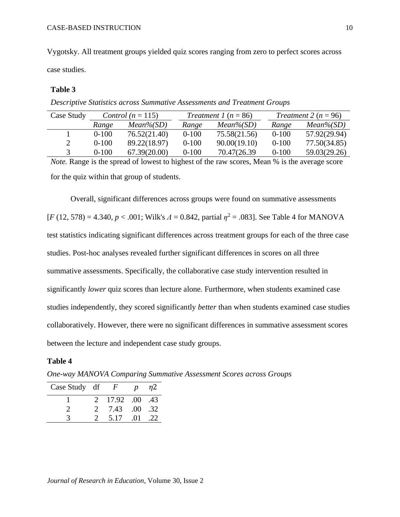Vygotsky. All treatment groups yielded quiz scores ranging from zero to perfect scores across case studies.

## **Table 3**

*Descriptive Statistics across Summative Assessments and Treatment Groups*

| Case Study | Control ( $n = 115$ ) |              | Treatment 1 $(n = 86)$ |              | Treatment 2 ( $n = 96$ ) |              |
|------------|-----------------------|--------------|------------------------|--------------|--------------------------|--------------|
|            | Range                 | $Mean\%(SD)$ | Range                  | $Mean\%(SD)$ | Range                    | $Mean\%(SD)$ |
|            | $0 - 100$             | 76.52(21.40) | $0 - 100$              | 75.58(21.56) | $0 - 100$                | 57.92(29.94) |
|            | $0 - 100$             | 89.22(18.97) | $0 - 100$              | 90.00(19.10) | $0 - 100$                | 77.50(34.85) |
|            | $0-100$               | 67.39(20.00) | $0 - 100$              | 70.47(26.39) | $0 - 100$                | 59.03(29.26) |

*Note.* Range is the spread of lowest to highest of the raw scores, Mean % is the average score for the quiz within that group of students.

Overall, significant differences across groups were found on summative assessments [*F* (12, 578) = 4.340, *p* < .001; Wilk's *Λ* = 0.842, partial *η* <sup>2</sup> = .083]. See Table 4 for MANOVA test statistics indicating significant differences across treatment groups for each of the three case studies. Post-hoc analyses revealed further significant differences in scores on all three summative assessments. Specifically, the collaborative case study intervention resulted in significantly *lower* quiz scores than lecture alone. Furthermore, when students examined case studies independently, they scored significantly *better* than when students examined case studies collaboratively. However, there were no significant differences in summative assessment scores between the lecture and independent case study groups.

## **Table 4**

*One-way MANOVA Comparing Summative Assessment Scores across Groups*

| Case Study df | $\boldsymbol{F}$ | $\boldsymbol{p}$ | n2  |
|---------------|------------------|------------------|-----|
|               | 2 17.92 .00 .43  |                  |     |
|               | 7.43             | $.00$ .32        |     |
|               | 5.17             | -01              | .22 |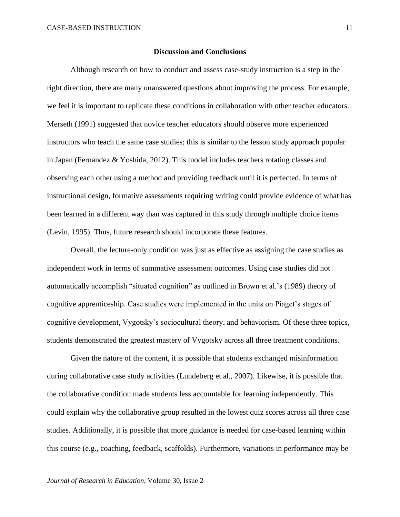#### **Discussion and Conclusions**

Although research on how to conduct and assess case-study instruction is a step in the right direction, there are many unanswered questions about improving the process. For example, we feel it is important to replicate these conditions in collaboration with other teacher educators. Merseth (1991) suggested that novice teacher educators should observe more experienced instructors who teach the same case studies; this is similar to the lesson study approach popular in Japan (Fernandez & Yoshida, 2012). This model includes teachers rotating classes and observing each other using a method and providing feedback until it is perfected. In terms of instructional design, formative assessments requiring writing could provide evidence of what has been learned in a different way than was captured in this study through multiple choice items (Levin, 1995). Thus, future research should incorporate these features.

Overall, the lecture-only condition was just as effective as assigning the case studies as independent work in terms of summative assessment outcomes. Using case studies did not automatically accomplish "situated cognition" as outlined in Brown et al.'s (1989) theory of cognitive apprenticeship. Case studies were implemented in the units on Piaget's stages of cognitive development, Vygotsky's sociocultural theory, and behaviorism. Of these three topics, students demonstrated the greatest mastery of Vygotsky across all three treatment conditions.

Given the nature of the content, it is possible that students exchanged misinformation during collaborative case study activities (Lundeberg et al., 2007). Likewise, it is possible that the collaborative condition made students less accountable for learning independently. This could explain why the collaborative group resulted in the lowest quiz scores across all three case studies. Additionally, it is possible that more guidance is needed for case-based learning within this course (e.g., coaching, feedback, scaffolds). Furthermore, variations in performance may be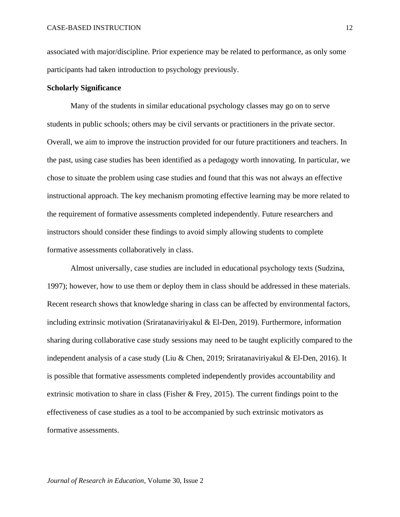associated with major/discipline. Prior experience may be related to performance, as only some participants had taken introduction to psychology previously.

#### **Scholarly Significance**

Many of the students in similar educational psychology classes may go on to serve students in public schools; others may be civil servants or practitioners in the private sector. Overall, we aim to improve the instruction provided for our future practitioners and teachers. In the past, using case studies has been identified as a pedagogy worth innovating. In particular, we chose to situate the problem using case studies and found that this was not always an effective instructional approach. The key mechanism promoting effective learning may be more related to the requirement of formative assessments completed independently. Future researchers and instructors should consider these findings to avoid simply allowing students to complete formative assessments collaboratively in class.

Almost universally, case studies are included in educational psychology texts (Sudzina, 1997); however, how to use them or deploy them in class should be addressed in these materials. Recent research shows that knowledge sharing in class can be affected by environmental factors, including extrinsic motivation (Sriratanaviriyakul & El-Den, 2019). Furthermore, information sharing during collaborative case study sessions may need to be taught explicitly compared to the independent analysis of a case study (Liu & Chen, 2019; Sriratanaviriyakul & El-Den, 2016). It is possible that formative assessments completed independently provides accountability and extrinsic motivation to share in class (Fisher & Frey, 2015). The current findings point to the effectiveness of case studies as a tool to be accompanied by such extrinsic motivators as formative assessments.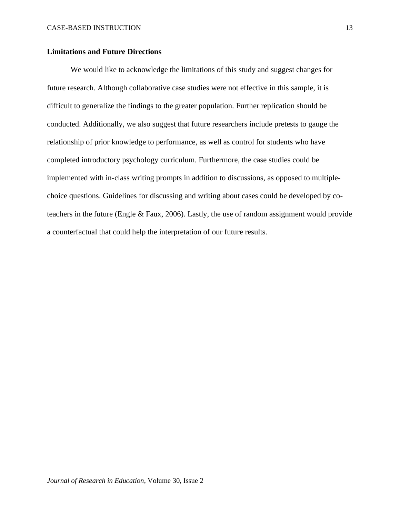# **Limitations and Future Directions**

We would like to acknowledge the limitations of this study and suggest changes for future research. Although collaborative case studies were not effective in this sample, it is difficult to generalize the findings to the greater population. Further replication should be conducted. Additionally, we also suggest that future researchers include pretests to gauge the relationship of prior knowledge to performance, as well as control for students who have completed introductory psychology curriculum. Furthermore, the case studies could be implemented with in-class writing prompts in addition to discussions, as opposed to multiplechoice questions. Guidelines for discussing and writing about cases could be developed by coteachers in the future (Engle & Faux, 2006). Lastly, the use of random assignment would provide a counterfactual that could help the interpretation of our future results.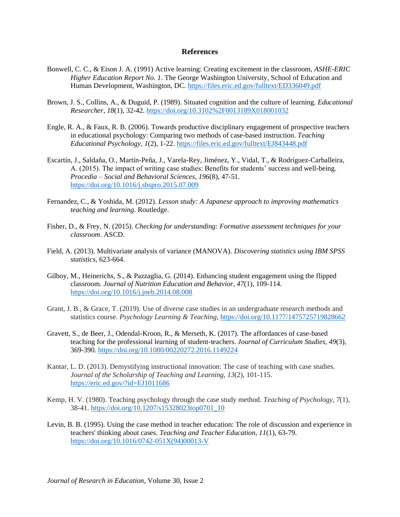#### **References**

- Bonwell, C. C., & Eison J. A. (1991) Active learning: Creating excitement in the classroom, *ASHE-ERIC Higher Education Report No. 1*. The George Washington University, School of Education and Human Development, Washington, DC. <https://files.eric.ed.gov/fulltext/ED336049.pdf>
- Brown, J. S., Collins, A., & Duguid, P. (1989). Situated cognition and the culture of learning. *Educational Researcher*, *18*(1), 32-42. <https://doi.org/10.3102%2F0013189X018001032>
- Engle, R. A., & Faux, R. B. (2006). Towards productive disciplinary engagement of prospective teachers in educational psychology: Comparing two methods of case-based instruction. *Teaching Educational Psychology*, *1*(2), 1-22. <https://files.eric.ed.gov/fulltext/EJ843448.pdf>
- Escartín, J., Saldaña, O., Martín-Peña, J., Varela-Rey, Jiménez, Y., Vidal, T., & Rodríguez-Carballeira, A. (2015). The impact of writing case studies: Benefits for students' success and well-being. *Procedia – Social and Behavioral Sciences, 196*(8), 47-51. <https://doi.org/10.1016/j.sbspro.2015.07.009>
- Fernandez, C., & Yoshida, M. (2012). *Lesson study: A Japanese approach to improving mathematics teaching and learning*. Routledge.
- Fisher, D., & Frey, N. (2015). *Checking for understanding: Formative assessment techniques for your classroom*. ASCD.
- Field, A. (2013). Multivariate analysis of variance (MANOVA). *Discovering statistics using IBM SPSS statistics*, 623-664.
- Gilboy, M., Heinerichs, S., & Pazzaglia, G. (2014). Enhancing student engagement using the flipped classroom. *Journal of Nutrition Education and Behavior, 47*(1), 109-114. <https://doi.org/10.1016/j.jneb.2014.08.008>
- Grant, J. B., & Grace, T. (2019). Use of diverse case studies in an undergraduate research methods and statistics course. *Psychology Learning & Teaching*, <https://doi.org/10.1177/1475725719828662>
- Gravett, S., de Beer, J., Odendal-Kroon, R., & Merseth, K. (2017). The affordances of case-based teaching for the professional learning of student-teachers. *Journal of Curriculum Studies, 49*(3), 369-390. <https://doi.org/10.1080/00220272.2016.1149224>
- Kantar, L. D. (2013). Demystifying instructional innovation: The case of teaching with case studies. *Journal of the Scholarship of Teaching and Learning*, *13*(2), 101-115. <https://eric.ed.gov/?id=EJ1011686>
- Kemp, H. V. (1980). Teaching psychology through the case study method. *Teaching of Psychology*, *7*(1), 38-41. [https://doi.org/10.1207/s15328023top0701\\_10](https://doi.org/10.1207/s15328023top0701_10)
- Levin, B. B. (1995). Using the case method in teacher education: The role of discussion and experience in teachers' thinking about cases. *Teaching and Teacher Education*, *11*(1), 63-79. [https://doi.org/10.1016/0742-051X\(94\)00013-V](https://doi.org/10.1016/0742-051X(94)00013-V)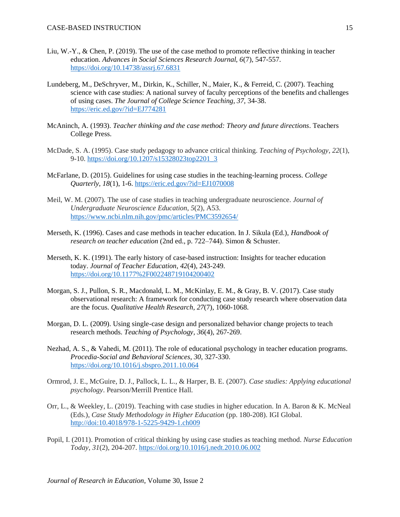- Liu, W.-Y., & Chen, P. (2019). The use of the case method to promote reflective thinking in teacher education. *Advances in Social Sciences Research Journal, 6*(7), 547-557. <https://doi.org/10.14738/assrj.67.6831>
- Lundeberg, M., DeSchryver, M., Dirkin, K., Schiller, N., Maier, K., & Ferreid, C. (2007). Teaching science with case studies: A national survey of faculty perceptions of the benefits and challenges of using cases. *The Journal of College Science Teaching, 37,* 34-38. <https://eric.ed.gov/?id=EJ774281>
- McAninch, A. (1993). *Teacher thinking and the case method: Theory and future directions*. Teachers College Press.
- McDade, S. A. (1995). Case study pedagogy to advance critical thinking. *Teaching of Psychology*, *22*(1), 9-10. [https://doi.org/10.1207/s15328023top2201\\_3](https://doi.org/10.1207/s15328023top2201_3)
- McFarlane, D. (2015). Guidelines for using case studies in the teaching-learning process. *College Quarterly, 18*(1), 1-6. <https://eric.ed.gov/?id=EJ1070008>
- Meil, W. M. (2007). The use of case studies in teaching undergraduate neuroscience. *Journal of Undergraduate Neuroscience Education*, *5*(2), A53. <https://www.ncbi.nlm.nih.gov/pmc/articles/PMC3592654/>
- Merseth, K. (1996). Cases and case methods in teacher education. In J. Sikula (Ed.), *Handbook of research on teacher education* (2nd ed., p. 722–744). Simon & Schuster.
- Merseth, K. K. (1991). The early history of case-based instruction: Insights for teacher education today. *Journal of Teacher Education*, *42*(4), 243-249. <https://doi.org/10.1177%2F002248719104200402>
- Morgan, S. J., Pullon, S. R., Macdonald, L. M., McKinlay, E. M., & Gray, B. V. (2017). Case study observational research: A framework for conducting case study research where observation data are the focus. *Qualitative Health Research, 27*(7), 1060-1068.
- Morgan, D. L. (2009). Using single-case design and personalized behavior change projects to teach research methods. *Teaching of Psychology, 36*(4), 267-269.
- Nezhad, A. S., & Vahedi, M. (2011). The role of educational psychology in teacher education programs. *Procedia-Social and Behavioral Sciences*, *30*, 327-330. <https://doi.org/10.1016/j.sbspro.2011.10.064>
- Ormrod, J. E., McGuire, D. J., Pallock, L. L., & Harper, B. E. (2007). *Case studies: Applying educational psychology*. Pearson/Merrill Prentice Hall.
- Orr, L., & Weekley, L. (2019). Teaching with case studies in higher education. In A. Baron & K. McNeal (Eds.), *Case Study Methodology in Higher Education* (pp. 180-208). IGI Global. <http://doi:10.4018/978-1-5225-9429-1.ch009>
- Popil, I. (2011). Promotion of critical thinking by using case studies as teaching method. *Nurse Education Today*, *31*(2), 204-207. <https://doi.org/10.1016/j.nedt.2010.06.002>